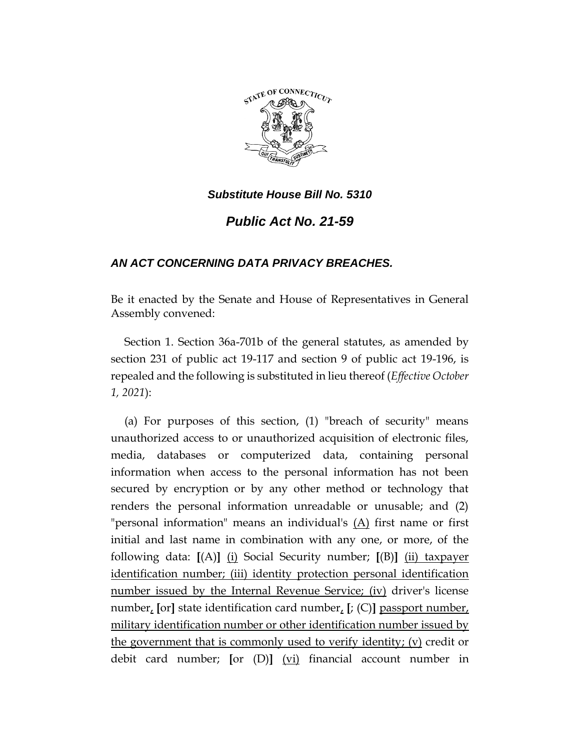

*Public Act No. 21-59*

# *AN ACT CONCERNING DATA PRIVACY BREACHES.*

Be it enacted by the Senate and House of Representatives in General Assembly convened:

Section 1. Section 36a-701b of the general statutes, as amended by section 231 of public act 19-117 and section 9 of public act 19-196, is repealed and the following is substituted in lieu thereof (*Effective October 1, 2021*):

(a) For purposes of this section, (1) "breach of security" means unauthorized access to or unauthorized acquisition of electronic files, media, databases or computerized data, containing personal information when access to the personal information has not been secured by encryption or by any other method or technology that renders the personal information unreadable or unusable; and (2) "personal information" means an individual's  $(A)$  first name or first initial and last name in combination with any one, or more, of the following data: **[**(A)**]** (i) Social Security number; **[**(B)**]** (ii) taxpayer identification number; (iii) identity protection personal identification number issued by the Internal Revenue Service; (iv) driver's license number, **[**or**]** state identification card number, **[**; (C)**]** passport number, military identification number or other identification number issued by the government that is commonly used to verify identity; (v) credit or debit card number; **[**or (D)**]** (vi) financial account number in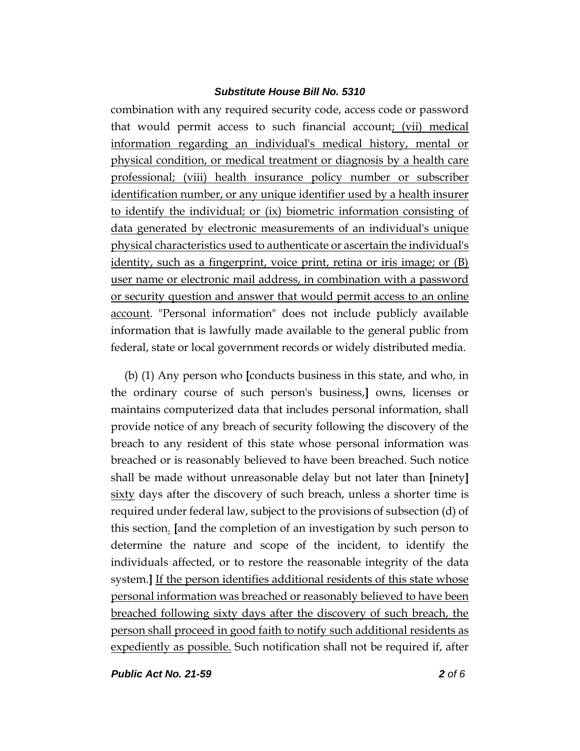combination with any required security code, access code or password that would permit access to such financial account; (vii) medical information regarding an individual's medical history, mental or physical condition, or medical treatment or diagnosis by a health care professional; (viii) health insurance policy number or subscriber identification number, or any unique identifier used by a health insurer to identify the individual; or (ix) biometric information consisting of data generated by electronic measurements of an individual's unique physical characteristics used to authenticate or ascertain the individual's identity, such as a fingerprint, voice print, retina or iris image; or (B) user name or electronic mail address, in combination with a password or security question and answer that would permit access to an online account. "Personal information" does not include publicly available information that is lawfully made available to the general public from federal, state or local government records or widely distributed media.

(b) (1) Any person who **[**conducts business in this state, and who, in the ordinary course of such person's business,**]** owns, licenses or maintains computerized data that includes personal information, shall provide notice of any breach of security following the discovery of the breach to any resident of this state whose personal information was breached or is reasonably believed to have been breached. Such notice shall be made without unreasonable delay but not later than **[**ninety**]** sixty days after the discovery of such breach, unless a shorter time is required under federal law, subject to the provisions of subsection (d) of this section. **[**and the completion of an investigation by such person to determine the nature and scope of the incident, to identify the individuals affected, or to restore the reasonable integrity of the data system.] If the person identifies additional residents of this state whose personal information was breached or reasonably believed to have been breached following sixty days after the discovery of such breach, the person shall proceed in good faith to notify such additional residents as expediently as possible. Such notification shall not be required if, after

*Public Act No. 21-59 2 of 6*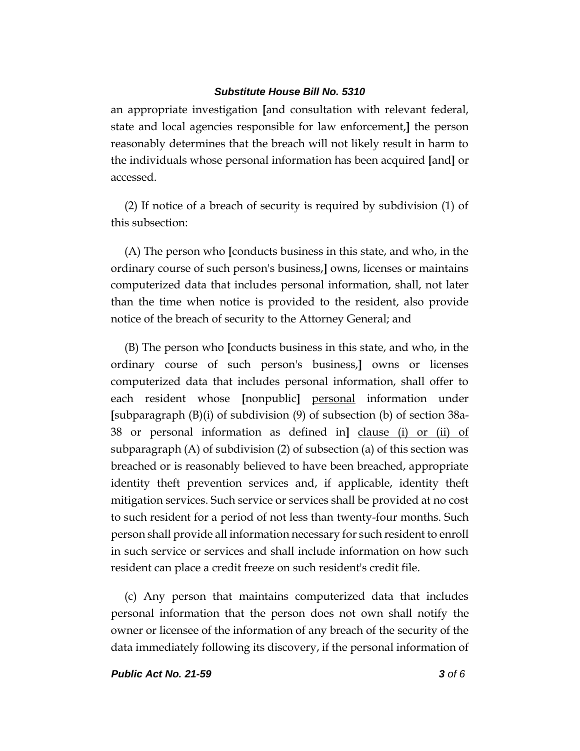an appropriate investigation **[**and consultation with relevant federal, state and local agencies responsible for law enforcement,**]** the person reasonably determines that the breach will not likely result in harm to the individuals whose personal information has been acquired **[**and**]** or accessed.

(2) If notice of a breach of security is required by subdivision (1) of this subsection:

(A) The person who **[**conducts business in this state, and who, in the ordinary course of such person's business,**]** owns, licenses or maintains computerized data that includes personal information, shall, not later than the time when notice is provided to the resident, also provide notice of the breach of security to the Attorney General; and

(B) The person who **[**conducts business in this state, and who, in the ordinary course of such person's business,**]** owns or licenses computerized data that includes personal information, shall offer to each resident whose **[**nonpublic**]** personal information under **[**subparagraph (B)(i) of subdivision (9) of subsection (b) of section 38a-38 or personal information as defined in**]** clause (i) or (ii) of subparagraph (A) of subdivision (2) of subsection (a) of this section was breached or is reasonably believed to have been breached, appropriate identity theft prevention services and, if applicable, identity theft mitigation services. Such service or services shall be provided at no cost to such resident for a period of not less than twenty-four months. Such person shall provide all information necessary for such resident to enroll in such service or services and shall include information on how such resident can place a credit freeze on such resident's credit file.

(c) Any person that maintains computerized data that includes personal information that the person does not own shall notify the owner or licensee of the information of any breach of the security of the data immediately following its discovery, if the personal information of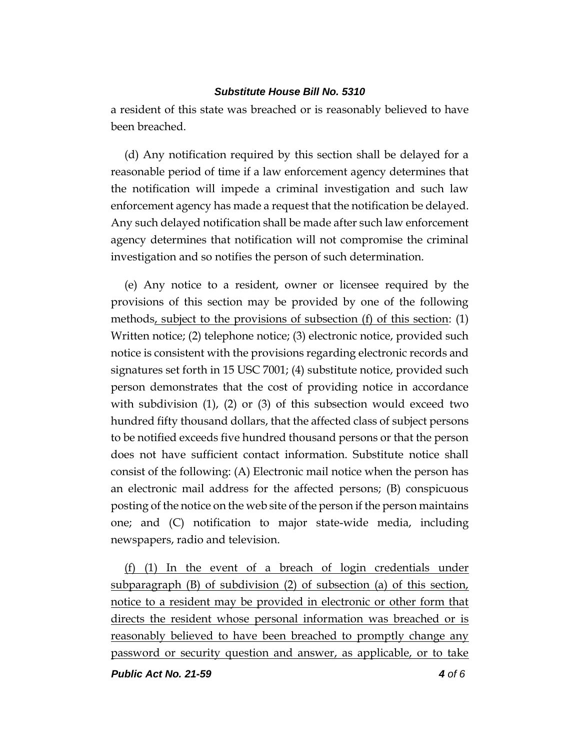a resident of this state was breached or is reasonably believed to have been breached.

(d) Any notification required by this section shall be delayed for a reasonable period of time if a law enforcement agency determines that the notification will impede a criminal investigation and such law enforcement agency has made a request that the notification be delayed. Any such delayed notification shall be made after such law enforcement agency determines that notification will not compromise the criminal investigation and so notifies the person of such determination.

(e) Any notice to a resident, owner or licensee required by the provisions of this section may be provided by one of the following methods, subject to the provisions of subsection (f) of this section: (1) Written notice; (2) telephone notice; (3) electronic notice, provided such notice is consistent with the provisions regarding electronic records and signatures set forth in 15 USC 7001; (4) substitute notice, provided such person demonstrates that the cost of providing notice in accordance with subdivision (1), (2) or (3) of this subsection would exceed two hundred fifty thousand dollars, that the affected class of subject persons to be notified exceeds five hundred thousand persons or that the person does not have sufficient contact information. Substitute notice shall consist of the following: (A) Electronic mail notice when the person has an electronic mail address for the affected persons; (B) conspicuous posting of the notice on the web site of the person if the person maintains one; and (C) notification to major state-wide media, including newspapers, radio and television.

(f) (1) In the event of a breach of login credentials under subparagraph (B) of subdivision (2) of subsection (a) of this section, notice to a resident may be provided in electronic or other form that directs the resident whose personal information was breached or is reasonably believed to have been breached to promptly change any password or security question and answer, as applicable, or to take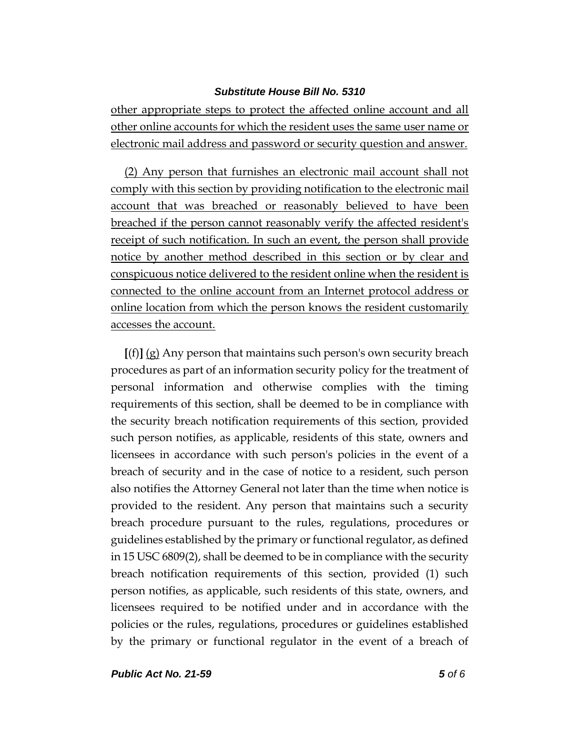other appropriate steps to protect the affected online account and all other online accounts for which the resident uses the same user name or electronic mail address and password or security question and answer.

(2) Any person that furnishes an electronic mail account shall not comply with this section by providing notification to the electronic mail account that was breached or reasonably believed to have been breached if the person cannot reasonably verify the affected resident's receipt of such notification. In such an event, the person shall provide notice by another method described in this section or by clear and conspicuous notice delivered to the resident online when the resident is connected to the online account from an Internet protocol address or online location from which the person knows the resident customarily accesses the account.

**[**(f)**]** (g) Any person that maintains such person's own security breach procedures as part of an information security policy for the treatment of personal information and otherwise complies with the timing requirements of this section, shall be deemed to be in compliance with the security breach notification requirements of this section, provided such person notifies, as applicable, residents of this state, owners and licensees in accordance with such person's policies in the event of a breach of security and in the case of notice to a resident, such person also notifies the Attorney General not later than the time when notice is provided to the resident. Any person that maintains such a security breach procedure pursuant to the rules, regulations, procedures or guidelines established by the primary or functional regulator, as defined in 15 USC 6809(2), shall be deemed to be in compliance with the security breach notification requirements of this section, provided (1) such person notifies, as applicable, such residents of this state, owners, and licensees required to be notified under and in accordance with the policies or the rules, regulations, procedures or guidelines established by the primary or functional regulator in the event of a breach of